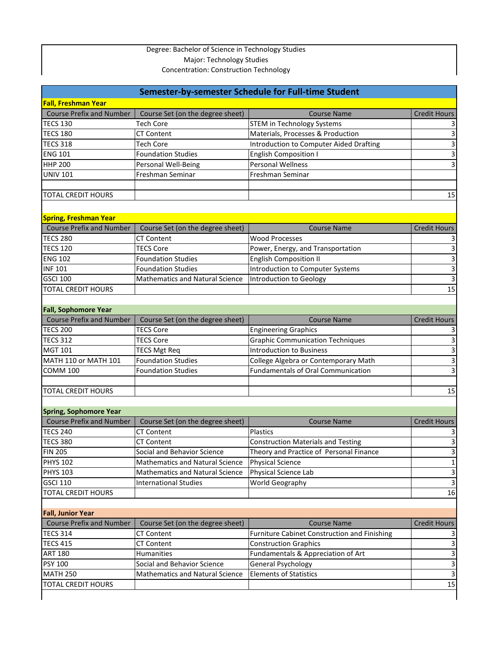## Degree: Bachelor of Science in Technology Studies Major: Technology Studies Concentration: Construction Technology

| Semester-by-semester Schedule for Full-time Student |                                        |                                                     |                     |  |
|-----------------------------------------------------|----------------------------------------|-----------------------------------------------------|---------------------|--|
| <b>Fall, Freshman Year</b>                          |                                        |                                                     |                     |  |
| <b>Course Prefix and Number</b>                     | Course Set (on the degree sheet)       | <b>Course Name</b>                                  | <b>Credit Hours</b> |  |
| <b>TECS 130</b>                                     | <b>Tech Core</b>                       | <b>STEM in Technology Systems</b>                   |                     |  |
| <b>TECS 180</b>                                     | <b>CT Content</b>                      | Materials, Processes & Production                   | 3                   |  |
| <b>TECS 318</b>                                     | <b>Tech Core</b>                       | <b>Introduction to Computer Aided Drafting</b>      | 3                   |  |
| <b>ENG 101</b>                                      | <b>Foundation Studies</b>              | <b>English Composition I</b>                        | 3                   |  |
| <b>HHP 200</b>                                      | Personal Well-Being                    | <b>Personal Wellness</b>                            | 3                   |  |
| <b>UNIV 101</b>                                     | Freshman Seminar                       | Freshman Seminar                                    |                     |  |
|                                                     |                                        |                                                     |                     |  |
| <b>TOTAL CREDIT HOURS</b>                           |                                        |                                                     | 15                  |  |
|                                                     |                                        |                                                     |                     |  |
| <b>Spring, Freshman Year</b>                        |                                        |                                                     |                     |  |
| <b>Course Prefix and Number</b>                     | Course Set (on the degree sheet)       | <b>Course Name</b>                                  | <b>Credit Hours</b> |  |
| <b>TECS 280</b>                                     | <b>CT Content</b>                      | <b>Wood Processes</b>                               |                     |  |
| <b>TECS 120</b>                                     | <b>TECS Core</b>                       |                                                     |                     |  |
|                                                     |                                        | Power, Energy, and Transportation                   |                     |  |
| <b>ENG 102</b>                                      | <b>Foundation Studies</b>              | <b>English Composition II</b>                       | 3                   |  |
| <b>INF 101</b>                                      | <b>Foundation Studies</b>              | <b>Introduction to Computer Systems</b>             |                     |  |
| <b>GSCI 100</b>                                     | Mathematics and Natural Science        | <b>Introduction to Geology</b>                      |                     |  |
| <b>TOTAL CREDIT HOURS</b>                           |                                        |                                                     | 15                  |  |
|                                                     |                                        |                                                     |                     |  |
| <b>Fall, Sophomore Year</b>                         |                                        |                                                     |                     |  |
| <b>Course Prefix and Number</b>                     | Course Set (on the degree sheet)       | <b>Course Name</b>                                  | <b>Credit Hours</b> |  |
| <b>TECS 200</b>                                     | <b>TECS Core</b>                       | <b>Engineering Graphics</b>                         |                     |  |
| <b>TECS 312</b>                                     | <b>TECS Core</b>                       | <b>Graphic Communication Techniques</b>             |                     |  |
| <b>MGT 101</b>                                      | <b>TECS Mgt Req</b>                    | <b>Introduction to Business</b>                     | 3                   |  |
| MATH 110 or MATH 101                                | <b>Foundation Studies</b>              | College Algebra or Contemporary Math                | 3                   |  |
| <b>COMM 100</b>                                     | <b>Foundation Studies</b>              | <b>Fundamentals of Oral Communication</b>           | 3                   |  |
|                                                     |                                        |                                                     |                     |  |
| <b>TOTAL CREDIT HOURS</b>                           |                                        |                                                     | 15                  |  |
|                                                     |                                        |                                                     |                     |  |
| <b>Spring, Sophomore Year</b>                       |                                        |                                                     |                     |  |
| <b>Course Prefix and Number</b>                     | Course Set (on the degree sheet)       | <b>Course Name</b>                                  | <b>Credit Hours</b> |  |
| <b>TECS 240</b>                                     | <b>CT Content</b>                      | Plastics                                            |                     |  |
| <b>TECS 380</b>                                     | <b>CT Content</b>                      | <b>Construction Materials and Testing</b>           | 3                   |  |
| <b>FIN 205</b>                                      | Social and Behavior Science            | Theory and Practice of Personal Finance             | 3                   |  |
| <b>PHYS 102</b>                                     | <b>Mathematics and Natural Science</b> | <b>Physical Science</b>                             | 1                   |  |
| <b>PHYS 103</b>                                     | <b>Mathematics and Natural Science</b> | Physical Science Lab                                | 3                   |  |
| <b>GSCI 110</b>                                     | <b>International Studies</b>           | World Geography                                     | 3                   |  |
| <b>TOTAL CREDIT HOURS</b>                           |                                        |                                                     | 16                  |  |
|                                                     |                                        |                                                     |                     |  |
| <b>Fall, Junior Year</b>                            |                                        |                                                     |                     |  |
| <b>Course Prefix and Number</b>                     | Course Set (on the degree sheet)       | <b>Course Name</b>                                  | <b>Credit Hours</b> |  |
| <b>TECS 314</b>                                     | <b>CT Content</b>                      | <b>Furniture Cabinet Construction and Finishing</b> |                     |  |
| <b>TECS 415</b>                                     | <b>CT Content</b>                      | <b>Construction Graphics</b>                        |                     |  |
| <b>ART 180</b>                                      | Humanities                             | Fundamentals & Appreciation of Art                  | 3                   |  |
| <b>PSY 100</b>                                      | Social and Behavior Science            | <b>General Psychology</b>                           | 3                   |  |
| <b>MATH 250</b>                                     | <b>Mathematics and Natural Science</b> | <b>Elements of Statistics</b>                       | 3                   |  |
| <b>TOTAL CREDIT HOURS</b>                           |                                        |                                                     | 15                  |  |
|                                                     |                                        |                                                     |                     |  |
|                                                     |                                        |                                                     |                     |  |